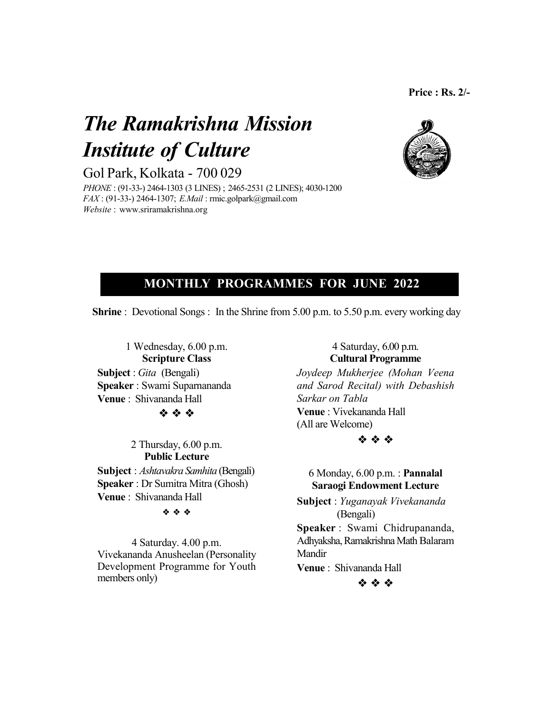# *The Ramakrishna Mission Institute of Culture*

Gol Park, Kolkata - 700 029

*PHONE* : (91-33-) 2464-1303 (3 LINES) ; 2465-2531 (2 LINES); 4030-1200 *FAX* : (91-33-) 2464-1307; *E.Mail* : rmic.golpark@gmail.com *Website* : www.sriramakrishna.org



# **MONTHLY PROGRAMMES FOR JUNE 2022**

**Shrine** : Devotional Songs : In the Shrine from 5.00 p.m. to 5.50 p.m. every working day

1 Wednesday, 6.00 p.m. **Scripture Class Subject** : *Gita* (Bengali) **Speaker** : Swami Suparnananda **Venue** : Shivananda Hall

**泰 泰 泰** 

2 Thursday, 6.00 p.m. **Public Lecture**

**Subject** : *Ashtavakra Samhita* (Bengali) **Speaker** : Dr Sumitra Mitra (Ghosh) **Venue** : Shivananda Hall

**病 病 病** 

4 Saturday. 4.00 p.m. Vivekananda Anusheelan (Personality Development Programme for Youth members only)

# 4 Saturday, 6.00 p.m. **Cultural Programme**

*Joydeep Mukherjee (Mohan Veena and Sarod Recital) with Debashish Sarkar on Tabla* **Venue** : Vivekananda Hall (All are Welcome)



6 Monday, 6.00 p.m. : **Pannalal Saraogi Endowment Lecture**

**Subject** : *Yuganayak Vivekananda* (Bengali)

**Speaker** : Swami Chidrupananda, Adhyaksha, Ramakrishna Math Balaram Mandir

**Venue** : Shivananda Hall

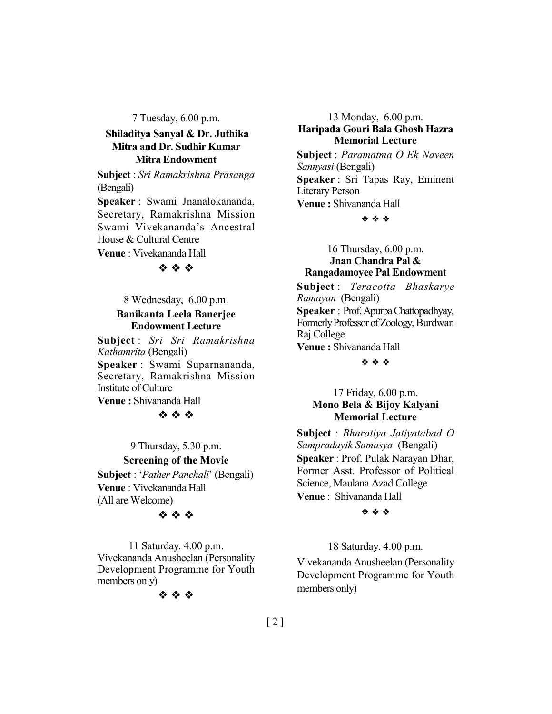7 Tuesday, 6.00 p.m.

# **Shiladitya Sanyal & Dr. Juthika Mitra and Dr. Sudhir Kumar Mitra Endowment**

**Subject** : *Sri Ramakrishna Prasanga* (Bengali)

**Speaker** : Swami Jnanalokananda, Secretary, Ramakrishna Mission Swami Vivekananda's Ancestral House & Cultural Centre **Venue** : Vivekananda Hall

# \*\*\*

8 Wednesday, 6.00 p.m.

#### **Banikanta Leela Banerjee Endowment Lecture**

**Subject** : *Sri Sri Ramakrishna Kathamrita* (Bengali) **Speaker** : Swami Suparnananda, Secretary, Ramakrishna Mission Institute of Culture **Venue :** Shivananda Hall

#### 安全学

9 Thursday, 5.30 p.m. **Screening of the Movie Subject** : '*Pather Panchali*' (Bengali) **Venue** : Vivekananda Hall (All are Welcome)

#### 安全学

11 Saturday. 4.00 p.m. Vivekananda Anusheelan (Personality Development Programme for Youth members only)



13 Monday, 6.00 p.m. **Haripada Gouri Bala Ghosh Hazra Memorial Lecture**

**Subject** : *Paramatma O Ek Naveen Sannyasi* (Bengali) **Speaker** : Sri Tapas Ray, Eminent Literary Person **Venue :** Shivananda Hall

#### $\ddot{\phi}$   $\ddot{\phi}$   $\ddot{\phi}$

16 Thursday, 6.00 p.m. **Jnan Chandra Pal & Rangadamoyee Pal Endowment**

**Subject** : *Teracotta Bhaskarye Ramayan* (Bengali) **Speaker** : Prof. Apurba Chattopadhyay, Formerly Professor of Zoology, Burdwan Raj College **Venue :** Shivananda Hall

\* \* \*

#### 17 Friday, 6.00 p.m. **Mono Bela & Bijoy Kalyani Memorial Lecture**

**Subject** : *Bharatiya Jatiyatabad O Sampradayik Samasya* (Bengali) **Speaker** : Prof. Pulak Narayan Dhar, Former Asst. Professor of Political Science, Maulana Azad College **Venue** : Shivananda Hall

#### $\ddot{\phi}$   $\ddot{\phi}$   $\ddot{\phi}$

18 Saturday. 4.00 p.m.

Vivekananda Anusheelan (Personality Development Programme for Youth members only)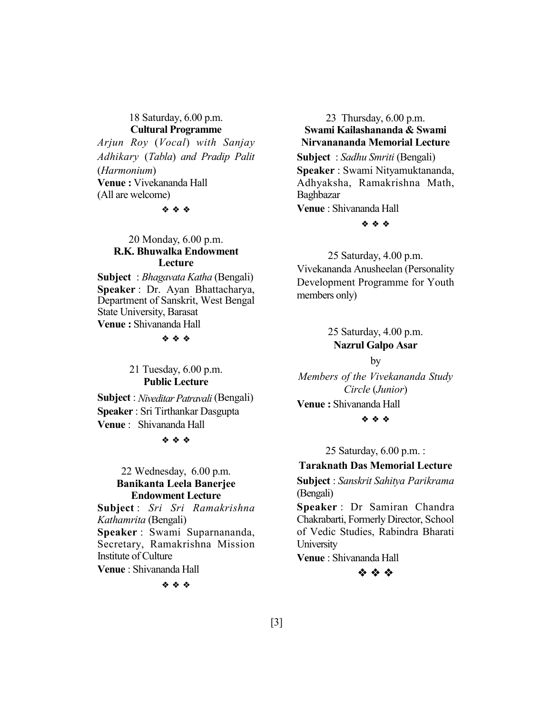#### 18 Saturday, 6.00 p.m. **Cultural Programme**

*Arjun Roy* (*Vocal*) *with Sanjay Adhikary* (*Tabla*) *and Pradip Palit* (*Harmonium*) **Venue :** Vivekananda Hall (All are welcome)

 $48.48 \pm 0.002$ 

# 20 Monday, 6.00 p.m. **R.K. Bhuwalka Endowment Lecture**

**Subject** : *Bhagavata Katha* (Bengali) **Speaker** : Dr. Ayan Bhattacharya, Department of Sanskrit, West Bengal State University, Barasat **Venue :** Shivananda Hall

 $\begin{array}{ccc} \phi_1 & \phi_2 & \phi_3 \end{array}$ 

## 21 Tuesday, 6.00 p.m. **Public Lecture**

**Subject** : *Niveditar Patravali* (Bengali) **Speaker** : Sri Tirthankar Dasgupta **Venue** : Shivananda Hall

\* \* \*

#### 22 Wednesday, 6.00 p.m. **Banikanta Leela Banerjee Endowment Lecture**

**Subject** : *Sri Sri Ramakrishna Kathamrita* (Bengali) **Speaker** : Swami Suparnananda, Secretary, Ramakrishna Mission Institute of Culture

**Venue** : Shivananda Hall

 $4.44$ 

#### 23 Thursday, 6.00 p.m. **Swami Kailashananda & Swami Nirvanananda Memorial Lecture**

**Subject** : *Sadhu Smriti* (Bengali) **Speaker** : Swami Nityamuktananda, Adhyaksha, Ramakrishna Math, Baghbazar **Venue** : Shivananda Hall

 $48.48$ 

25 Saturday, 4.00 p.m. Vivekananda Anusheelan (Personality Development Programme for Youth members only)

> 25 Saturday, 4.00 p.m. **Nazrul Galpo Asar**

> > by

*Members of the Vivekananda Study Circle* (*Junior*)

**Venue :** Shivananda Hall

\* \* \*

25 Saturday, 6.00 p.m. :

## **Taraknath Das Memorial Lecture**

**Subject** : *Sanskrit Sahitya Parikrama* (Bengali)

**Speaker** : Dr Samiran Chandra Chakrabarti, Formerly Director, School of Vedic Studies, Rabindra Bharati **University** 

**Venue** : Shivananda Hall